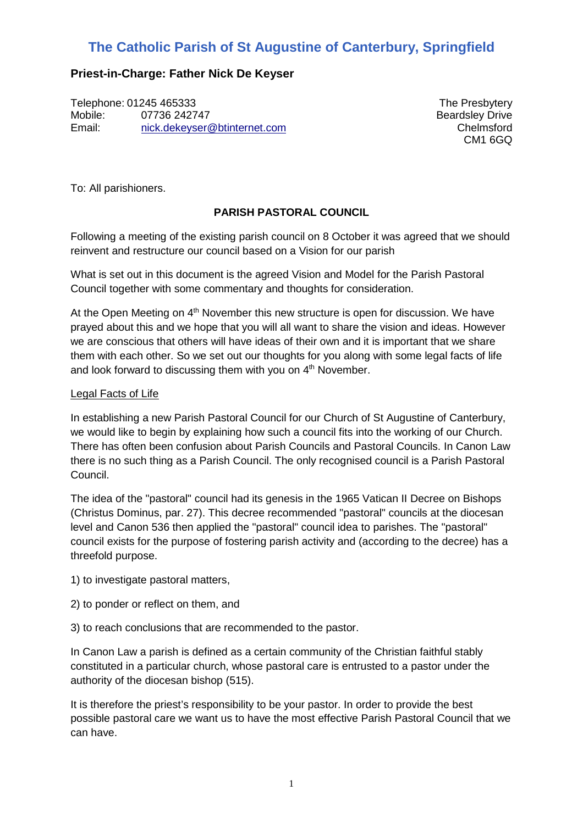# **The Catholic Parish of St Augustine of Canterbury, Springfield**

# **Priest-in-Charge: Father Nick De Keyser**

Telephone: 01245 465333 Mobile: 07736 242747 Email: nick.dekeyser@btinternet.com

The Presbytery Beardsley Drive Chelmsford CM1 6GQ

To: All parishioners.

# **PARISH PASTORAL COUNCIL**

Following a meeting of the existing parish council on 8 October it was agreed that we should reinvent and restructure our council based on a Vision for our parish

What is set out in this document is the agreed Vision and Model for the Parish Pastoral Council together with some commentary and thoughts for consideration.

At the Open Meeting on  $4<sup>th</sup>$  November this new structure is open for discussion. We have prayed about this and we hope that you will all want to share the vision and ideas. However we are conscious that others will have ideas of their own and it is important that we share them with each other. So we set out our thoughts for you along with some legal facts of life and look forward to discussing them with you on 4<sup>th</sup> November.

## Legal Facts of Life

In establishing a new Parish Pastoral Council for our Church of St Augustine of Canterbury, we would like to begin by explaining how such a council fits into the working of our Church. There has often been confusion about Parish Councils and Pastoral Councils. In Canon Law there is no such thing as a Parish Council. The only recognised council is a Parish Pastoral Council.

The idea of the "pastoral" council had its genesis in the 1965 Vatican II Decree on Bishops (Christus Dominus, par. 27). This decree recommended "pastoral" councils at the diocesan level and Canon 536 then applied the "pastoral" council idea to parishes. The "pastoral" council exists for the purpose of fostering parish activity and (according to the decree) has a threefold purpose.

- 1) to investigate pastoral matters,
- 2) to ponder or reflect on them, and
- 3) to reach conclusions that are recommended to the pastor.

In Canon Law a parish is defined as a certain community of the Christian faithful stably constituted in a particular church, whose pastoral care is entrusted to a pastor under the authority of the diocesan bishop (515).

It is therefore the priest's responsibility to be your pastor. In order to provide the best possible pastoral care we want us to have the most effective Parish Pastoral Council that we can have.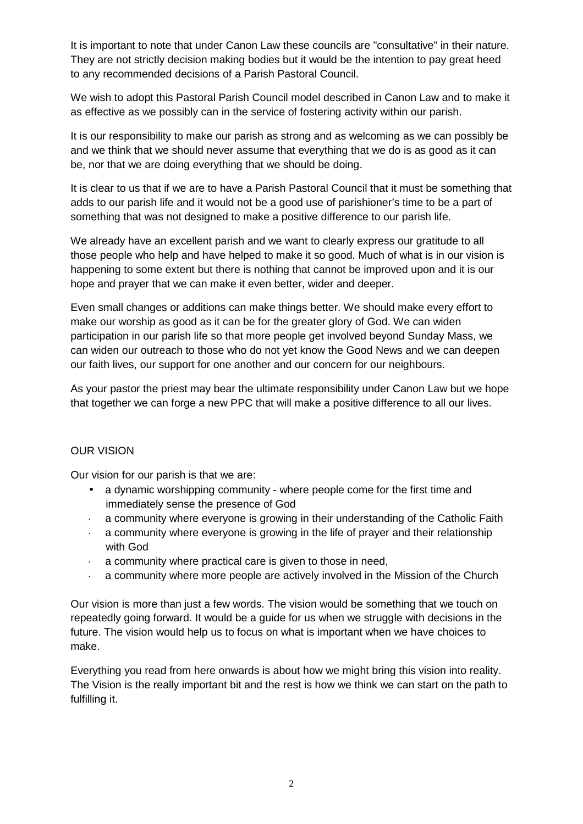It is important to note that under Canon Law these councils are "consultative" in their nature. They are not strictly decision making bodies but it would be the intention to pay great heed to any recommended decisions of a Parish Pastoral Council.

We wish to adopt this Pastoral Parish Council model described in Canon Law and to make it as effective as we possibly can in the service of fostering activity within our parish.

It is our responsibility to make our parish as strong and as welcoming as we can possibly be and we think that we should never assume that everything that we do is as good as it can be, nor that we are doing everything that we should be doing.

It is clear to us that if we are to have a Parish Pastoral Council that it must be something that adds to our parish life and it would not be a good use of parishioner's time to be a part of something that was not designed to make a positive difference to our parish life.

We already have an excellent parish and we want to clearly express our gratitude to all those people who help and have helped to make it so good. Much of what is in our vision is happening to some extent but there is nothing that cannot be improved upon and it is our hope and prayer that we can make it even better, wider and deeper.

Even small changes or additions can make things better. We should make every effort to make our worship as good as it can be for the greater glory of God. We can widen participation in our parish life so that more people get involved beyond Sunday Mass, we can widen our outreach to those who do not yet know the Good News and we can deepen our faith lives, our support for one another and our concern for our neighbours.

As your pastor the priest may bear the ultimate responsibility under Canon Law but we hope that together we can forge a new PPC that will make a positive difference to all our lives.

## OUR VISION

Our vision for our parish is that we are:

- a dynamic worshipping community where people come for the first time and immediately sense the presence of God
- · a community where everyone is growing in their understanding of the Catholic Faith
- a community where everyone is growing in the life of prayer and their relationship with God
- · a community where practical care is given to those in need,
- a community where more people are actively involved in the Mission of the Church

Our vision is more than just a few words. The vision would be something that we touch on repeatedly going forward. It would be a guide for us when we struggle with decisions in the future. The vision would help us to focus on what is important when we have choices to make.

Everything you read from here onwards is about how we might bring this vision into reality. The Vision is the really important bit and the rest is how we think we can start on the path to fulfilling it.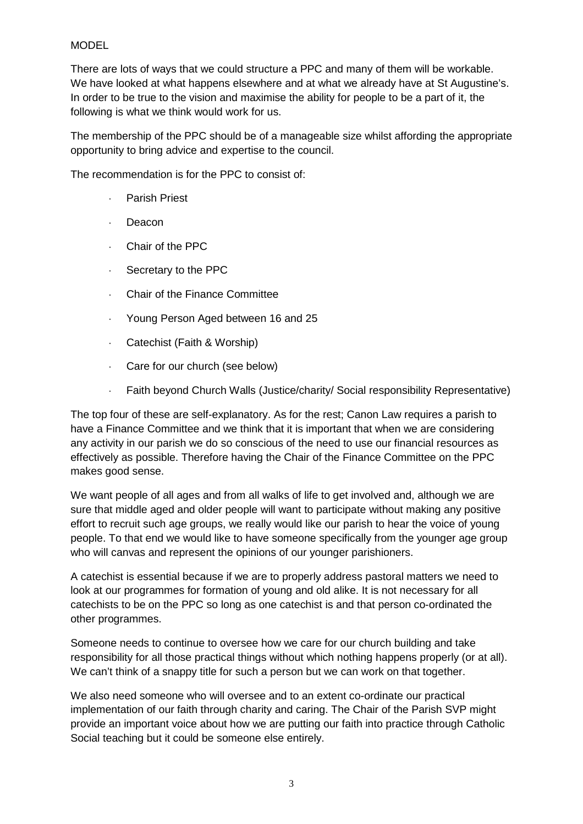## MODEL

There are lots of ways that we could structure a PPC and many of them will be workable. We have looked at what happens elsewhere and at what we already have at St Augustine's. In order to be true to the vision and maximise the ability for people to be a part of it, the following is what we think would work for us.

The membership of the PPC should be of a manageable size whilst affording the appropriate opportunity to bring advice and expertise to the council.

The recommendation is for the PPC to consist of:

- Parish Priest
- · Deacon
- · Chair of the PPC
- · Secretary to the PPC
- Chair of the Finance Committee
- · Young Person Aged between 16 and 25
- · Catechist (Faith & Worship)
- · Care for our church (see below)
- · Faith beyond Church Walls (Justice/charity/ Social responsibility Representative)

The top four of these are self-explanatory. As for the rest; Canon Law requires a parish to have a Finance Committee and we think that it is important that when we are considering any activity in our parish we do so conscious of the need to use our financial resources as effectively as possible. Therefore having the Chair of the Finance Committee on the PPC makes good sense.

We want people of all ages and from all walks of life to get involved and, although we are sure that middle aged and older people will want to participate without making any positive effort to recruit such age groups, we really would like our parish to hear the voice of young people. To that end we would like to have someone specifically from the younger age group who will canvas and represent the opinions of our younger parishioners.

A catechist is essential because if we are to properly address pastoral matters we need to look at our programmes for formation of young and old alike. It is not necessary for all catechists to be on the PPC so long as one catechist is and that person co-ordinated the other programmes.

Someone needs to continue to oversee how we care for our church building and take responsibility for all those practical things without which nothing happens properly (or at all). We can't think of a snappy title for such a person but we can work on that together.

We also need someone who will oversee and to an extent co-ordinate our practical implementation of our faith through charity and caring. The Chair of the Parish SVP might provide an important voice about how we are putting our faith into practice through Catholic Social teaching but it could be someone else entirely.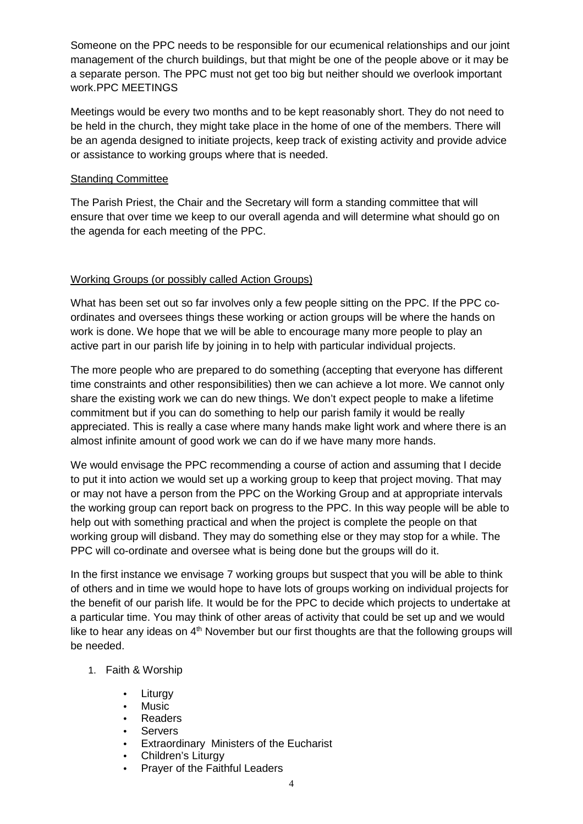Someone on the PPC needs to be responsible for our ecumenical relationships and our joint management of the church buildings, but that might be one of the people above or it may be a separate person. The PPC must not get too big but neither should we overlook important work.PPC MEETINGS

Meetings would be every two months and to be kept reasonably short. They do not need to be held in the church, they might take place in the home of one of the members. There will be an agenda designed to initiate projects, keep track of existing activity and provide advice or assistance to working groups where that is needed.

#### Standing Committee

The Parish Priest, the Chair and the Secretary will form a standing committee that will ensure that over time we keep to our overall agenda and will determine what should go on the agenda for each meeting of the PPC.

## Working Groups (or possibly called Action Groups)

What has been set out so far involves only a few people sitting on the PPC. If the PPC coordinates and oversees things these working or action groups will be where the hands on work is done. We hope that we will be able to encourage many more people to play an active part in our parish life by joining in to help with particular individual projects.

The more people who are prepared to do something (accepting that everyone has different time constraints and other responsibilities) then we can achieve a lot more. We cannot only share the existing work we can do new things. We don't expect people to make a lifetime commitment but if you can do something to help our parish family it would be really appreciated. This is really a case where many hands make light work and where there is an almost infinite amount of good work we can do if we have many more hands.

We would envisage the PPC recommending a course of action and assuming that I decide to put it into action we would set up a working group to keep that project moving. That may or may not have a person from the PPC on the Working Group and at appropriate intervals the working group can report back on progress to the PPC. In this way people will be able to help out with something practical and when the project is complete the people on that working group will disband. They may do something else or they may stop for a while. The PPC will co-ordinate and oversee what is being done but the groups will do it.

In the first instance we envisage 7 working groups but suspect that you will be able to think of others and in time we would hope to have lots of groups working on individual projects for the benefit of our parish life. It would be for the PPC to decide which projects to undertake at a particular time. You may think of other areas of activity that could be set up and we would like to hear any ideas on  $4<sup>th</sup>$  November but our first thoughts are that the following groups will be needed.

## 1. Faith & Worship

- **Liturgy**
- **Music**
- Readers
- Servers
- Extraordinary Ministers of the Eucharist
- Children's Liturgy
- Prayer of the Faithful Leaders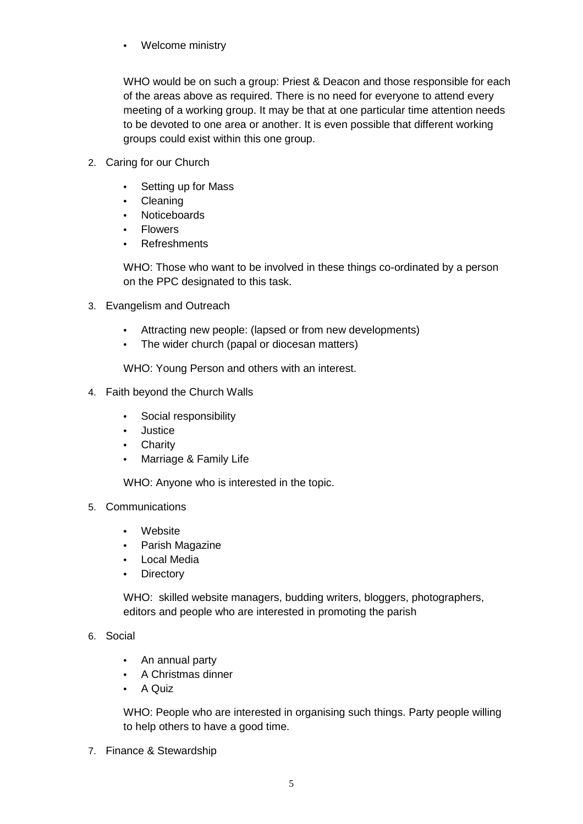• Welcome ministry

WHO would be on such a group: Priest & Deacon and those responsible for each of the areas above as required. There is no need for everyone to attend every meeting of a working group. It may be that at one particular time attention needs to be devoted to one area or another. It is even possible that different working groups could exist within this one group.

- 2. Caring for our Church
	- Setting up for Mass
	- Cleaning
	- Noticeboards
	- Flowers
	- Refreshments

WHO: Those who want to be involved in these things co-ordinated by a person on the PPC designated to this task.

- 3. Evangelism and Outreach
	- Attracting new people: (lapsed or from new developments)
	- The wider church (papal or diocesan matters)

WHO: Young Person and others with an interest.

- 4. Faith beyond the Church Walls
	- Social responsibility
	- Justice
	- Charity
	- Marriage & Family Life

WHO: Anyone who is interested in the topic.

- 5. Communications
	- Website
	- Parish Magazine
	- Local Media
	- Directory

WHO: skilled website managers, budding writers, bloggers, photographers, editors and people who are interested in promoting the parish

# 6. Social

- An annual party
- A Christmas dinner
- A Quiz

WHO: People who are interested in organising such things. Party people willing to help others to have a good time.

7. Finance & Stewardship